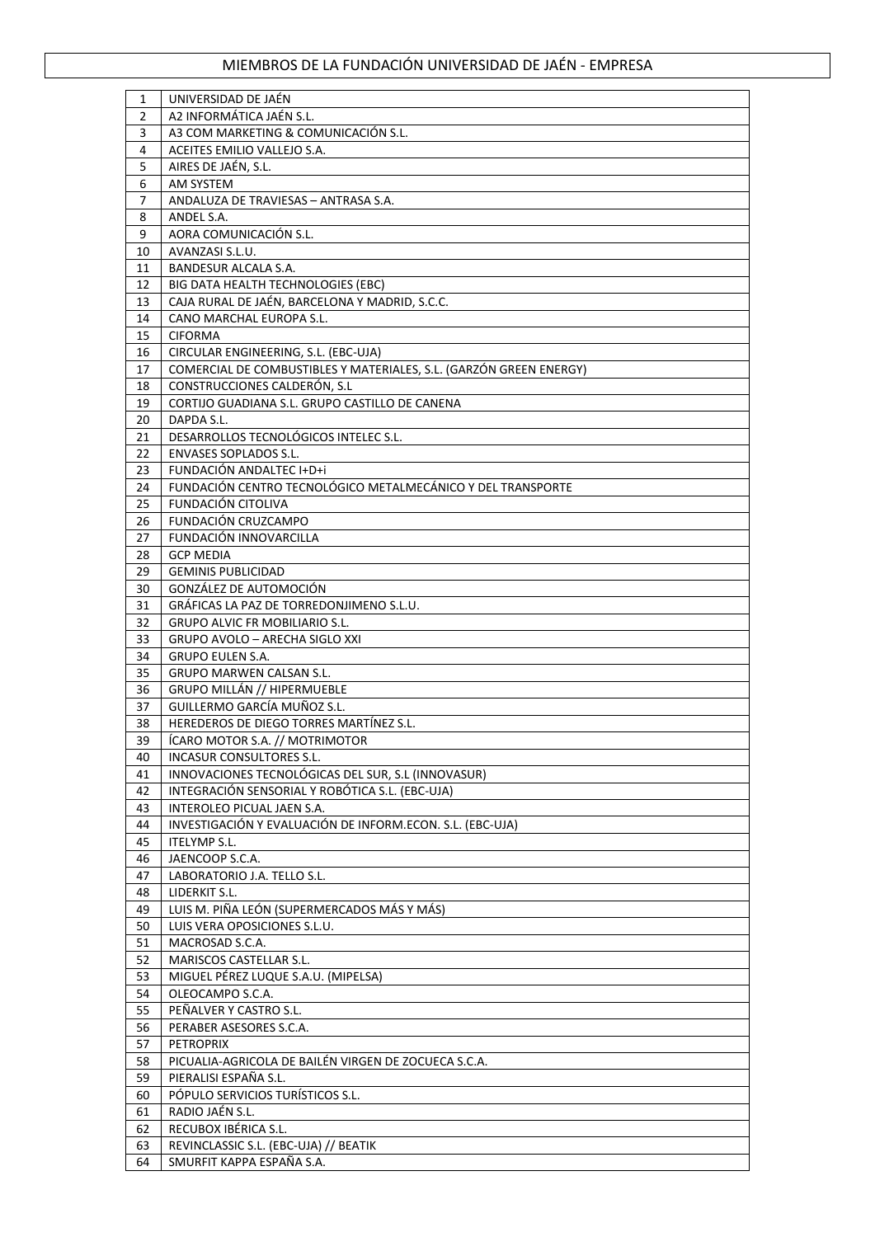| 1        | UNIVERSIDAD DE JAÉN                                                |
|----------|--------------------------------------------------------------------|
| 2        | A2 INFORMÁTICA JAÉN S.L.                                           |
| 3        | A3 COM MARKETING & COMUNICACIÓN S.L.                               |
| 4        | ACEITES EMILIO VALLEJO S.A.                                        |
| 5        | AIRES DE JAÉN, S.L.                                                |
| 6        | AM SYSTEM                                                          |
| 7        | ANDALUZA DE TRAVIESAS - ANTRASA S.A.                               |
| 8        | ANDEL S.A.                                                         |
| 9        | AORA COMUNICACIÓN S.L.                                             |
| 10       | AVANZASI S.L.U.                                                    |
| 11       | <b>BANDESUR ALCALA S.A.</b>                                        |
| 12       | BIG DATA HEALTH TECHNOLOGIES (EBC)                                 |
|          | CAJA RURAL DE JAÉN, BARCELONA Y MADRID, S.C.C.                     |
| 13<br>14 | CANO MARCHAL EUROPA S.L.                                           |
|          |                                                                    |
| 15       | <b>CIFORMA</b>                                                     |
| 16       | CIRCULAR ENGINEERING, S.L. (EBC-UJA)                               |
| 17       | COMERCIAL DE COMBUSTIBLES Y MATERIALES, S.L. (GARZÓN GREEN ENERGY) |
| 18       | CONSTRUCCIONES CALDERÓN, S.L                                       |
| 19       | CORTIJO GUADIANA S.L. GRUPO CASTILLO DE CANENA                     |
| 20       | DAPDA S.L.                                                         |
| 21       | DESARROLLOS TECNOLÓGICOS INTELEC S.L.                              |
| 22       | <b>ENVASES SOPLADOS S.L.</b>                                       |
| 23       | FUNDACIÓN ANDALTEC I+D+i                                           |
| 24       | FUNDACIÓN CENTRO TECNOLÓGICO METALMECÁNICO Y DEL TRANSPORTE        |
| 25       | FUNDACIÓN CITOLIVA                                                 |
| 26       | FUNDACIÓN CRUZCAMPO                                                |
| 27       | FUNDACIÓN INNOVARCILLA                                             |
| 28       | <b>GCP MEDIA</b>                                                   |
| 29       | <b>GEMINIS PUBLICIDAD</b>                                          |
| 30       | GONZÁLEZ DE AUTOMOCIÓN                                             |
| 31       | GRÁFICAS LA PAZ DE TORREDONJIMENO S.L.U.                           |
| 32       | <b>GRUPO ALVIC FR MOBILIARIO S.L.</b>                              |
| 33       | GRUPO AVOLO - ARECHA SIGLO XXI                                     |
| 34       | <b>GRUPO EULEN S.A.</b>                                            |
| 35       | GRUPO MARWEN CALSAN S.L.                                           |
| 36       | GRUPO MILLÁN // HIPERMUEBLE                                        |
| 37       | GUILLERMO GARCÍA MUÑOZ S.L.                                        |
| 38       | HEREDEROS DE DIEGO TORRES MARTÍNEZ S.L.                            |
| 39       | ÍCARO MOTOR S.A. // MOTRIMOTOR                                     |
| 40       | <b>INCASUR CONSULTORES S.L.</b>                                    |
| 41       | INNOVACIONES TECNOLÓGICAS DEL SUR, S.L (INNOVASUR)                 |
| 42       | INTEGRACIÓN SENSORIAL Y ROBÓTICA S.L. (EBC-UJA)                    |
| 43       | <b>INTEROLEO PICUAL JAEN S.A.</b>                                  |
| 44       | INVESTIGACIÓN Y EVALUACIÓN DE INFORM.ECON. S.L. (EBC-UJA)          |
| 45       | ITELYMP S.L.                                                       |
| 46       | JAENCOOP S.C.A.                                                    |
| 47       | LABORATORIO J.A. TELLO S.L.                                        |
| 48       | LIDERKIT S.L.                                                      |
| 49       |                                                                    |
|          | LUIS M. PIÑA LEÓN (SUPERMERCADOS MÁS Y MÁS)                        |
| 50       | LUIS VERA OPOSICIONES S.L.U.                                       |
| 51       | MACROSAD S.C.A.                                                    |
| 52       | MARISCOS CASTELLAR S.L.                                            |
| 53       | MIGUEL PÉREZ LUQUE S.A.U. (MIPELSA)                                |
| 54       | OLEOCAMPO S.C.A.                                                   |
| 55       | PEÑALVER Y CASTRO S.L.                                             |
| 56       | PERABER ASESORES S.C.A.                                            |
| 57       | PETROPRIX                                                          |
| 58       | PICUALIA-AGRICOLA DE BAILÉN VIRGEN DE ZOCUECA S.C.A.               |
| 59       | PIERALISI ESPAÑA S.L.                                              |
| 60       | PÓPULO SERVICIOS TURÍSTICOS S.L.                                   |
| 61       | RADIO JAÉN S.L.                                                    |
| 62       | RECUBOX IBÉRICA S.L.                                               |
| 63       | REVINCLASSIC S.L. (EBC-UJA) // BEATIK                              |
| 64       | SMURFIT KAPPA ESPAÑA S.A.                                          |